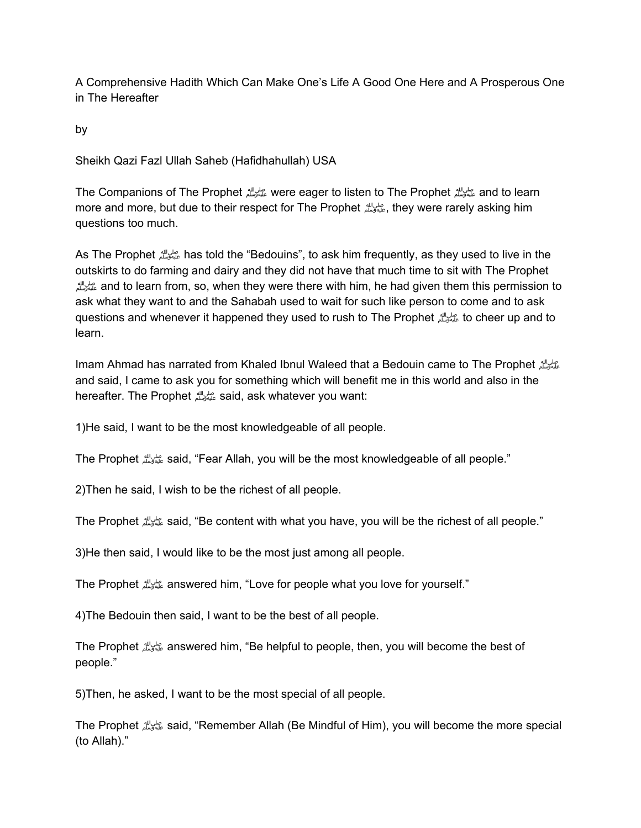A Comprehensive Hadith Which Can Make One's Life A Good One Here and A Prosperous One in The Hereafter

by

Sheikh Qazi Fazl Ullah Saheb (Hafidhahullah) USA

The Companions of The Prophetصلى الله عليه وسلمwere eager to listen to The Prophetصلى الله عليه وسلمand to learn more and more, but due to their respect for The Prophet الله عليه الله عليه وسلم, they were rarely asking him questions too much.

As The Prophetصلى الله عليه وسلمhas told the "Bedouins", to ask him frequently, as they used to live in the outskirts to do farming and dairy and they did not have that much time to sit with The Prophet صلى الله عليه وسلمand to learn from, so, when they were there with him, he had given them this permission to ask what they want to and the Sahabah used to wait for such like person to come and to ask questions and whenever it happened they used to rush to The Prophetصلى الله عليه وسلمto cheer up and to learn.

Imam Ahmad has narrated from Khaled Ibnul Waleed that a Bedouin came to The Prophetصلى الله عليه وسلم and said, I came to ask you for something which will benefit me in this world and also in the hereafter. The Prophetصلى الله عليه وسلمsaid, ask whatever you want:

1)He said, I want to be the most knowledgeable of all people.

The Prophetصلى الله عليه وسلمsaid, "Fear Allah, you will be the most knowledgeable of all people."

2)Then he said, I wish to be the richest of all people.

The Prophetصلى الله عليه وسلمsaid, "Be content with what you have, you will be the richest of all people."

3)He then said, I would like to be the most just among all people.

The Prophet عليه الله answered him, "Love for people what you love for yourself."

4)The Bedouin then said, I want to be the best of all people.

The Prophet ملي الله answered him, "Be helpful to people, then, you will become the best of people."

5)Then, he asked, I want to be the most special of all people.

The Prophetصلى الله عليه وسلمsaid, "Remember Allah (Be Mindful of Him), you will become the more special (to Allah)."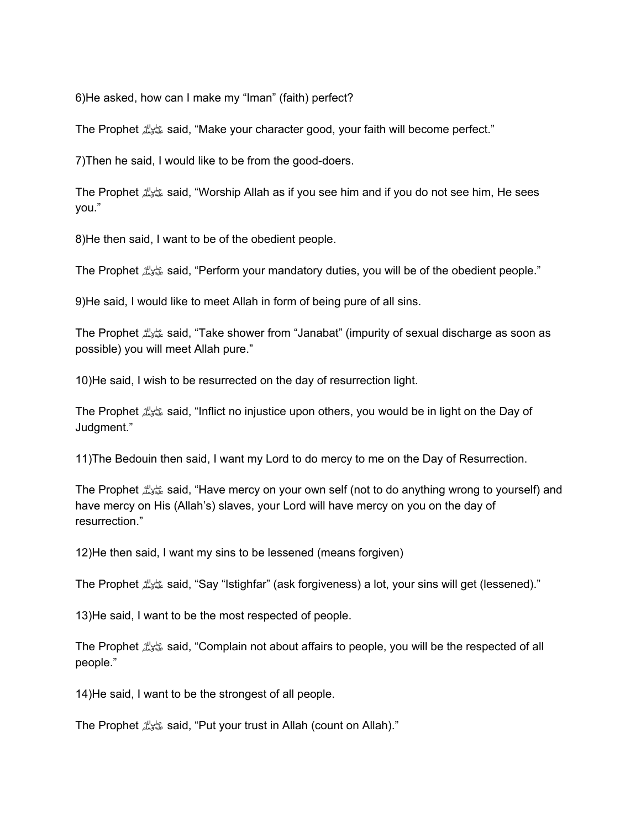6)He asked, how can I make my "Iman" (faith) perfect?

The Prophetصلى الله عليه وسلمsaid, "Make your character good, your faith will become perfect."

7)Then he said, I would like to be from the good-doers.

The Prophetصلى الله عليه وسلمsaid, "Worship Allah as if you see him and if you do not see him, He sees you."

8)He then said, I want to be of the obedient people.

The Prophetصلى الله عليه وسلمsaid, "Perform your mandatory duties, you will be of the obedient people."

9)He said, I would like to meet Allah in form of being pure of all sins.

The Prophetصلى الله عليه وسلمsaid, "Take shower from "Janabat" (impurity of sexual discharge as soon as possible) you will meet Allah pure."

10)He said, I wish to be resurrected on the day of resurrection light.

The Prophetصلى الله عليه وسلمsaid, "Inflict no injustice upon others, you would be in light on the Day of Judgment."

11)The Bedouin then said, I want my Lord to do mercy to me on the Day of Resurrection.

The Prophetصلى الله عليه وسلمsaid, "Have mercy on your own self (not to do anything wrong to yourself) and have mercy on His (Allah's) slaves, your Lord will have mercy on you on the day of resurrection."

12)He then said, I want my sins to be lessened (means forgiven)

The Prophetصلى الله عليه وسلمsaid, "Say "Istighfar" (ask forgiveness) a lot, your sins will get (lessened)."

13)He said, I want to be the most respected of people.

The Prophetصلى الله عليه وسلمsaid, "Complain not about affairs to people, you will be the respected of all people."

14)He said, I want to be the strongest of all people.

The Prophetصلى الله عليه وسلمsaid, "Put your trust in Allah (count on Allah)."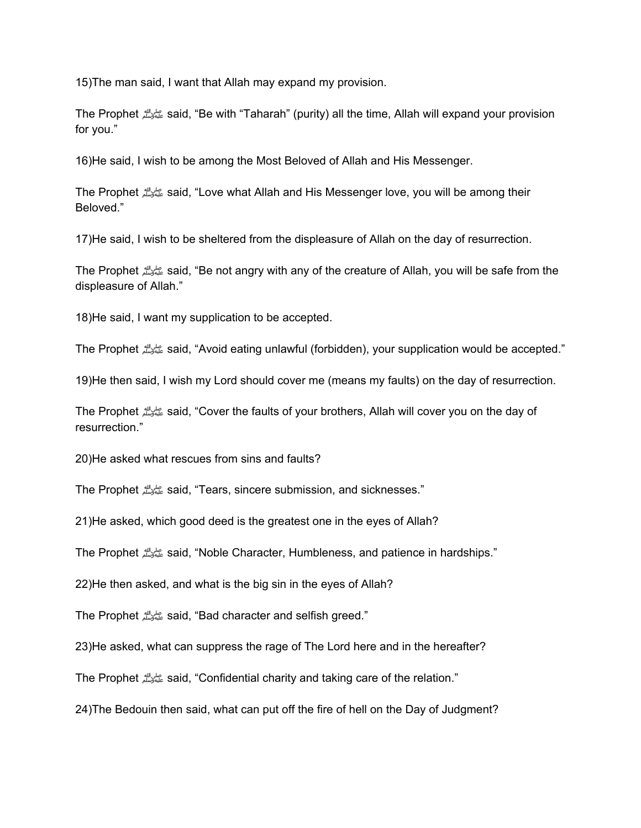15)The man said, I want that Allah may expand my provision.

The Prophetصلى الله عليه وسلمsaid, "Be with "Taharah" (purity) all the time, Allah will expand your provision for you."

16)He said, I wish to be among the Most Beloved of Allah and His Messenger.

The Prophetصلى الله عليه وسلمsaid, "Love what Allah and His Messenger love, you will be among their Beloved."

17)He said, I wish to be sheltered from the displeasure of Allah on the day of resurrection.

The Prophetصلى الله عليه وسلمsaid, "Be not angry with any of the creature of Allah, you will be safe from the displeasure of Allah."

18)He said, I want my supplication to be accepted.

The Prophetصلى الله عليه وسلمsaid, "Avoid eating unlawful (forbidden), your supplication would be accepted."

19)He then said, I wish my Lord should cover me (means my faults) on the day of resurrection.

The Prophetصلى الله عليه وسلمsaid, "Cover the faults of your brothers, Allah will cover you on the day of resurrection."

20)He asked what rescues from sins and faults?

The Prophetصلى الله عليه وسلمsaid, "Tears, sincere submission, and sicknesses."

21)He asked, which good deed is the greatest one in the eyes of Allah?

The Prophetصلى الله عليه وسلمsaid, "Noble Character, Humbleness, and patience in hardships."

22)He then asked, and what is the big sin in the eyes of Allah?

The Prophetصلى الله عليه وسلمsaid, "Bad character and selfish greed."

23)He asked, what can suppress the rage of The Lord here and in the hereafter?

The Prophetصلى الله عليه وسلمsaid, "Confidential charity and taking care of the relation."

24)The Bedouin then said, what can put off the fire of hell on the Day of Judgment?